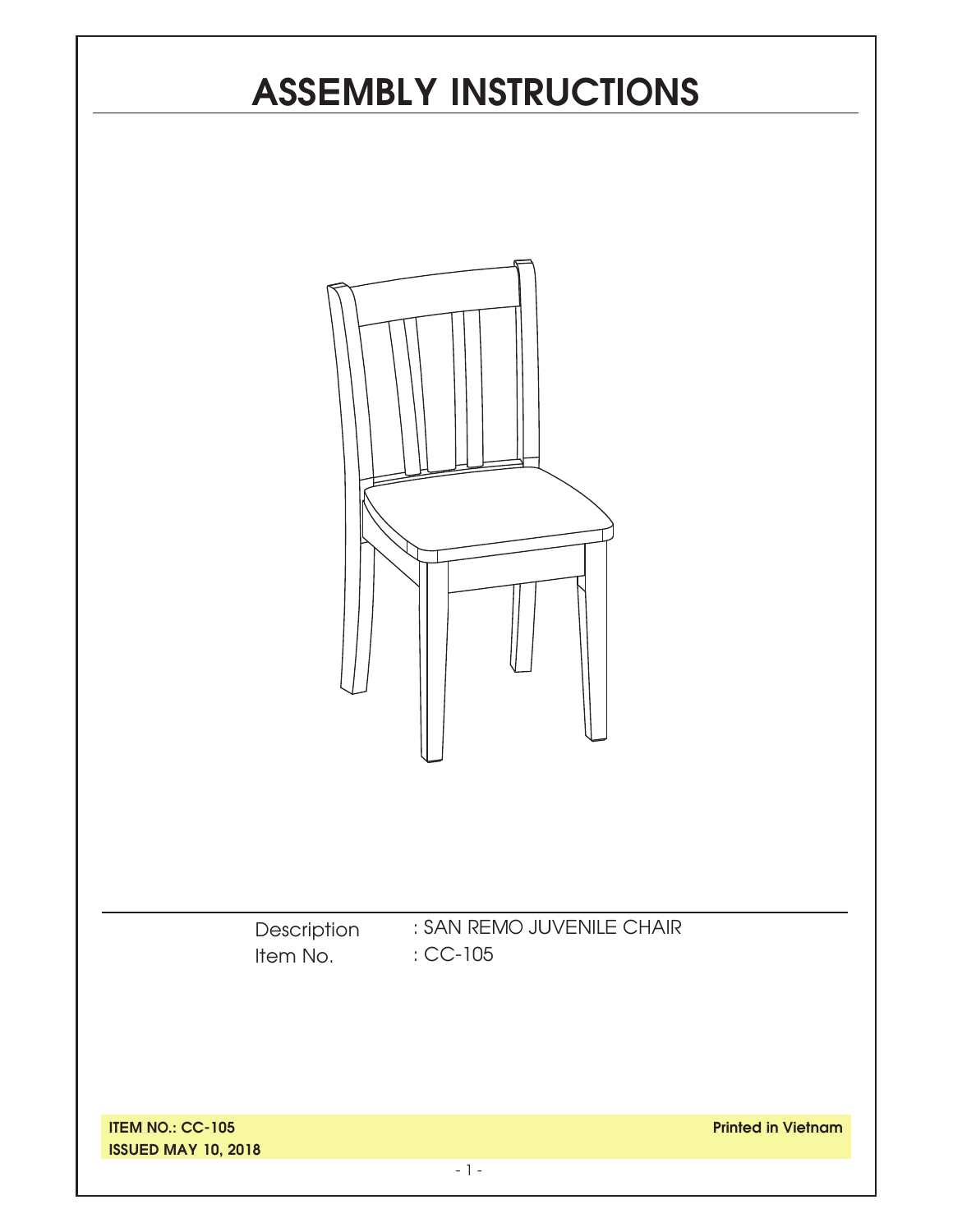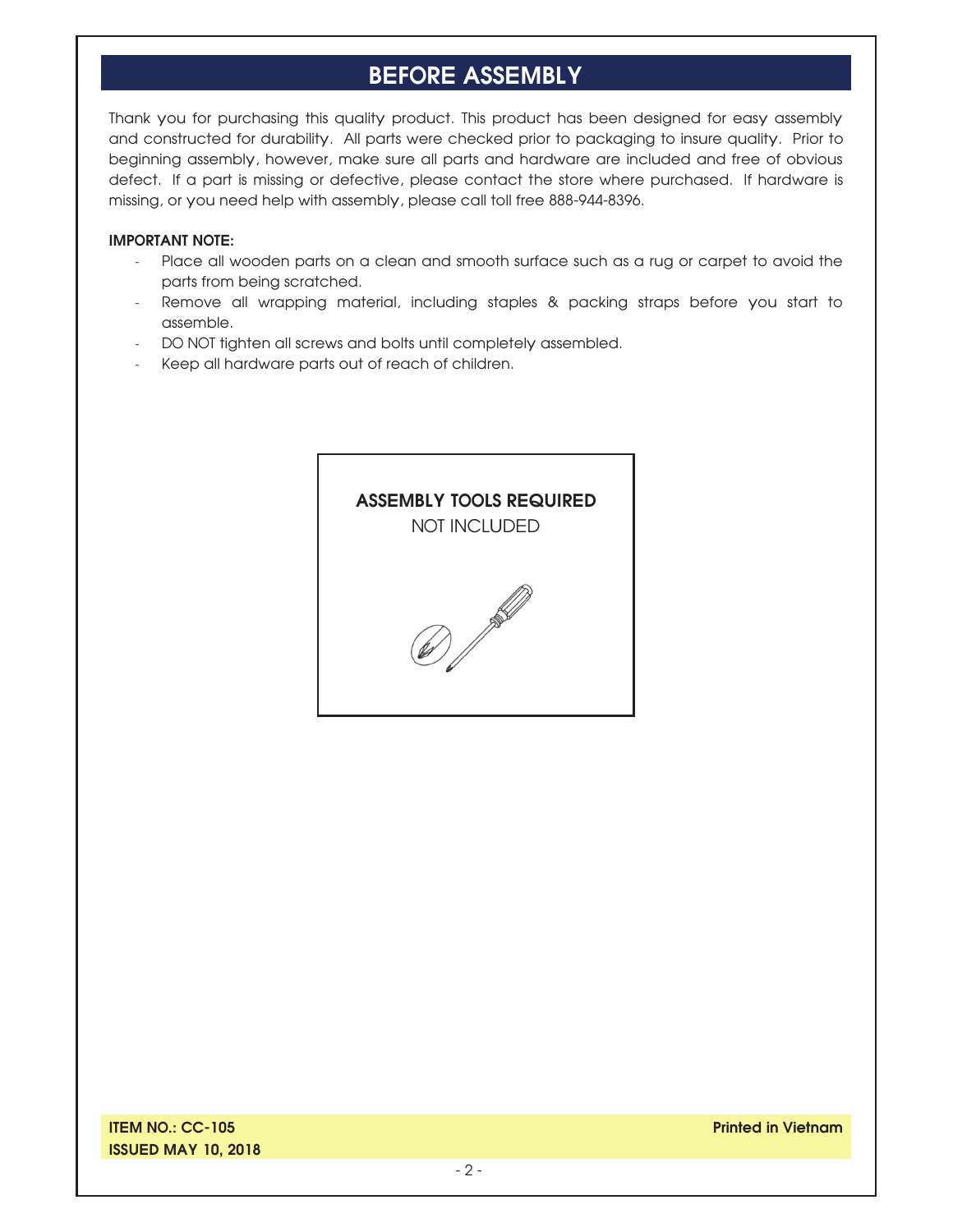## **BEFORE ASSEMBLY**

Thank you for purchasing this quality product. This product has been designed for easy assembly and constructed for durability. All parts were checked prior to packaging to insure quality. Prior to beginning assembly, however, make sure all parts and hardware are included and free of obvious defect. If a part is missing or defective, please contact the store where purchased. If hardware is missing, or you need help with assembly, please call toll free 888-944-8396.

#### **IMPORTANT NOTE:**

- Place all wooden parts on a clean and smooth surface such as a rug or carpet to avoid the parts from being scratched.
- Remove all wrapping material, including staples & packing straps before you start to assemble.
- DO NOT tighten all screws and bolts until completely assembled.
- Keep all hardware parts out of reach of children.



**Printed in Vietnam**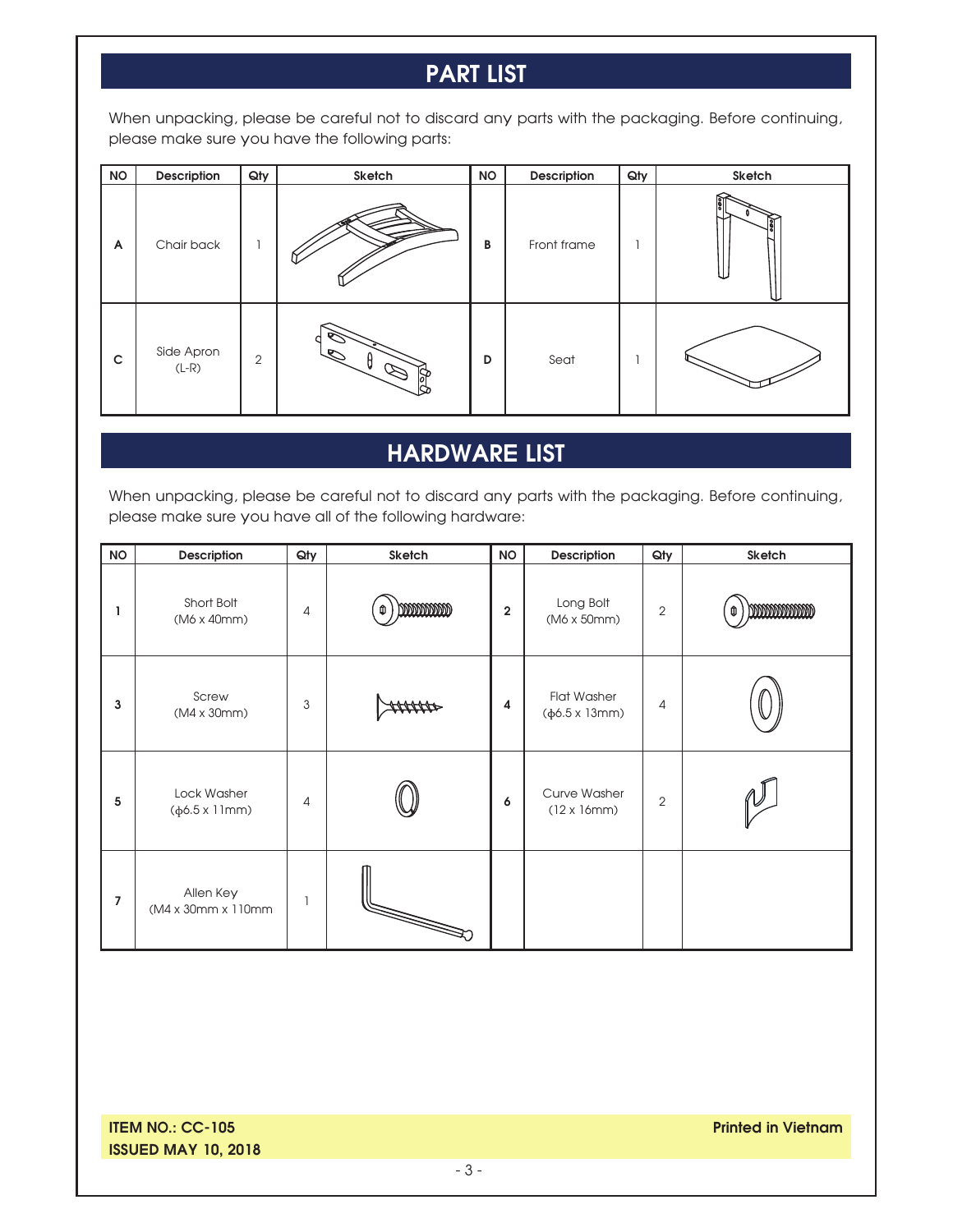# **PART LIST**

When unpacking, please be careful not to discard any parts with the packaging. Before continuing, please make sure you have the following parts:

| <b>NO</b>   | Description           | Qty            | Sketch     | <b>NO</b> | Description | Qty | Sketch |
|-------------|-----------------------|----------------|------------|-----------|-------------|-----|--------|
| A           | Chair back            |                |            | B         | Front frame |     |        |
| $\mathsf c$ | Side Apron<br>$(L-R)$ | $\overline{2}$ | <b>Rec</b> | D         | Seat        |     |        |

# **HARDWARE LIST**

When unpacking, please be careful not to discard any parts with the packaging. Before continuing, please make sure you have all of the following hardware:

| <b>NO</b>      | Description                              | Qty            | Sketch    | <b>NO</b>               | Description                                            | Qty            | Sketch       |
|----------------|------------------------------------------|----------------|-----------|-------------------------|--------------------------------------------------------|----------------|--------------|
| ı              | Short Bolt<br>$(M6 \times 40$ mm $)$     | $\overline{4}$ | mmmm<br>Û | $\overline{\mathbf{2}}$ | Long Bolt<br>$(M6 \times 50 \text{mm})$                | $\overline{2}$ | monomon<br>⋔ |
| 3              | Screw<br>(M4 x 30mm)                     | 3              |           | $\overline{\mathbf{4}}$ | <b>Flat Washer</b><br>$(\phi 6.5 \times 13 \text{mm})$ | 4              |              |
| 5              | Lock Washer<br>$(\phi 6.5 \times 11$ mm) | $\overline{4}$ |           | 6                       | Curve Washer<br>$(12 \times 16$ mm $)$                 | $\overline{2}$ |              |
| $\overline{7}$ | Allen Key<br>(M4 x 30mm x 110mm          | $\overline{1}$ | S         |                         |                                                        |                |              |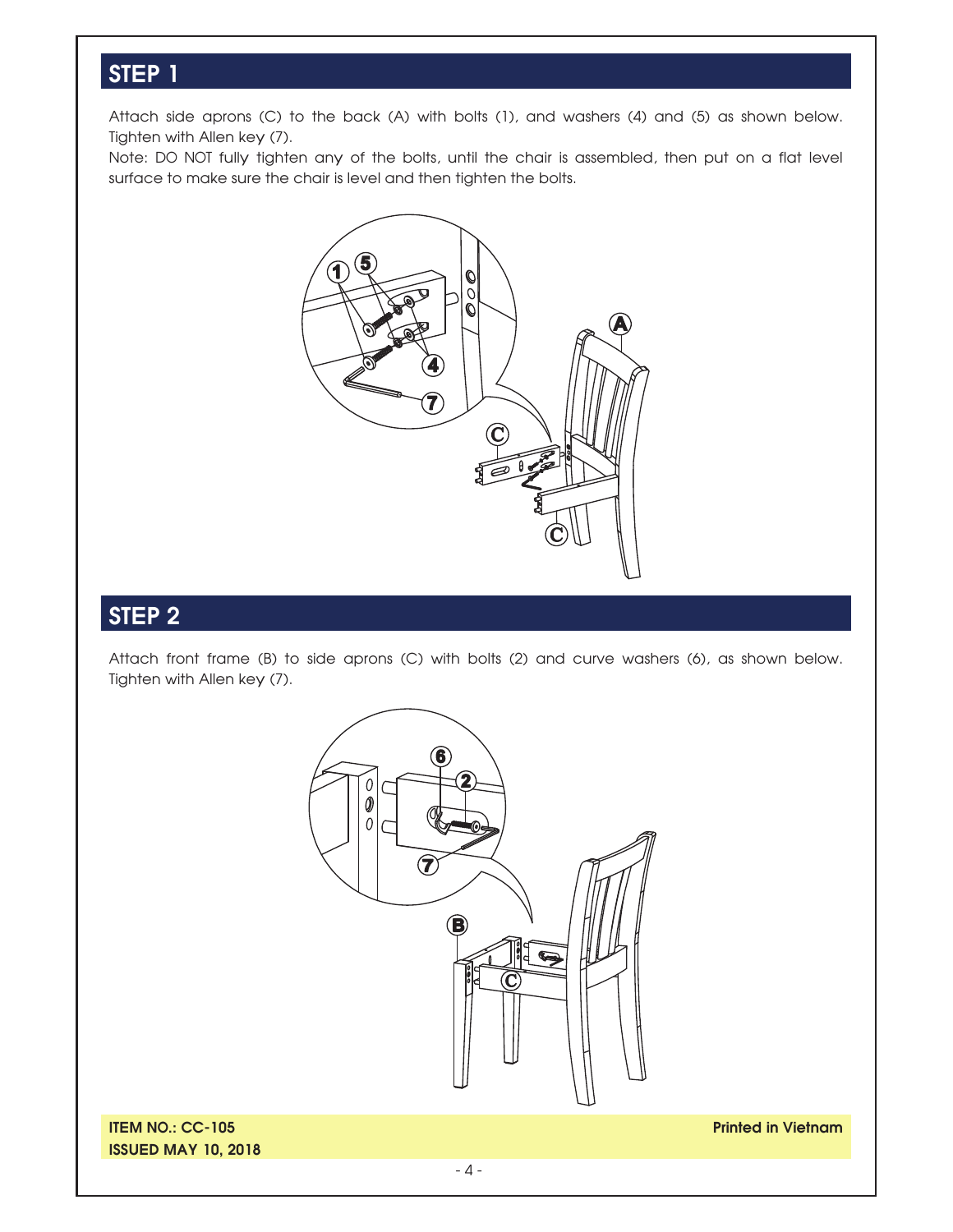#### **STEP 1**

Attach side aprons (C) to the back (A) with bolts (1), and washers (4) and (5) as shown below. Tighten with Allen key (7).

Note: DO NOT fully tighten any of the bolts, until the chair is assembled, then put on a flat level surface to make sure the chair is level and then tighten the bolts.



#### **STEP 2**

Attach front frame (B) to side aprons (C) with bolts (2) and curve washers (6), as shown below. Tighten with Allen key (7).